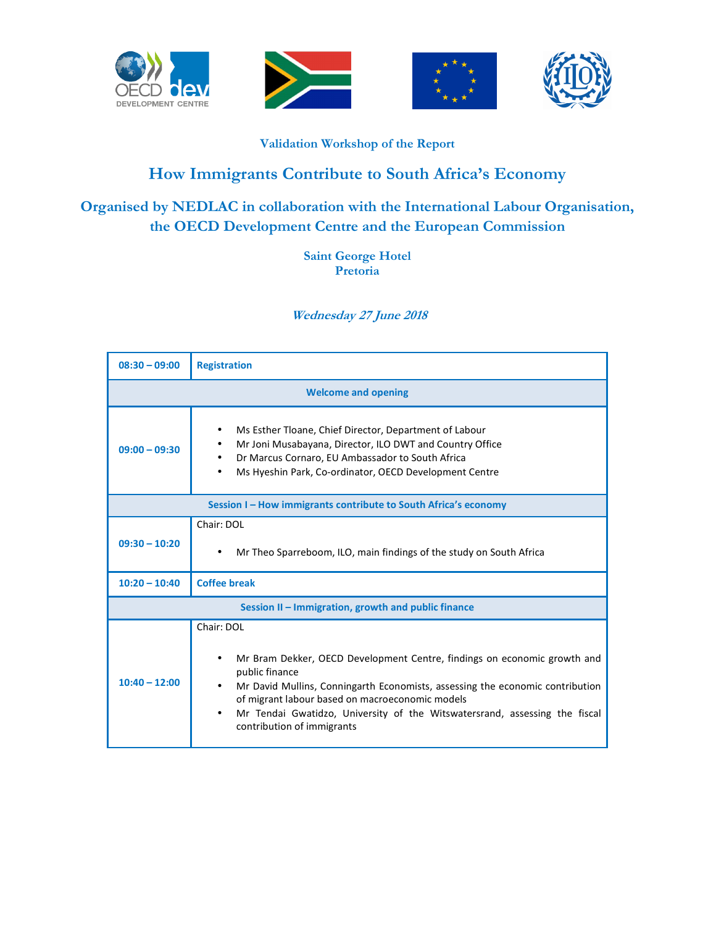







## **Validation Workshop of the Report**

## **How Immigrants Contribute to South Africa's Economy**

## **Organised by NEDLAC in collaboration with the International Labour Organisation, the OECD Development Centre and the European Commission**

## **Saint George Hotel Pretoria**

 **Wednesday 27 June 2018** 

| $08:30 - 09:00$                                                 | <b>Registration</b>                                                                                                                                                                                                                                                                                                                                      |  |
|-----------------------------------------------------------------|----------------------------------------------------------------------------------------------------------------------------------------------------------------------------------------------------------------------------------------------------------------------------------------------------------------------------------------------------------|--|
| <b>Welcome and opening</b>                                      |                                                                                                                                                                                                                                                                                                                                                          |  |
| $09:00 - 09:30$                                                 | Ms Esther Tloane, Chief Director, Department of Labour<br>Mr Joni Musabayana, Director, ILO DWT and Country Office<br>Dr Marcus Cornaro, EU Ambassador to South Africa<br>Ms Hyeshin Park, Co-ordinator, OECD Development Centre                                                                                                                         |  |
| Session I - How immigrants contribute to South Africa's economy |                                                                                                                                                                                                                                                                                                                                                          |  |
| $09:30 - 10:20$                                                 | Chair: DOL<br>Mr Theo Sparreboom, ILO, main findings of the study on South Africa                                                                                                                                                                                                                                                                        |  |
| $10:20 - 10:40$                                                 | <b>Coffee break</b>                                                                                                                                                                                                                                                                                                                                      |  |
| Session II - Immigration, growth and public finance             |                                                                                                                                                                                                                                                                                                                                                          |  |
| $10:40 - 12:00$                                                 | Chair: DOL<br>Mr Bram Dekker, OECD Development Centre, findings on economic growth and<br>public finance<br>Mr David Mullins, Conningarth Economists, assessing the economic contribution<br>of migrant labour based on macroeconomic models<br>Mr Tendai Gwatidzo, University of the Witswatersrand, assessing the fiscal<br>contribution of immigrants |  |